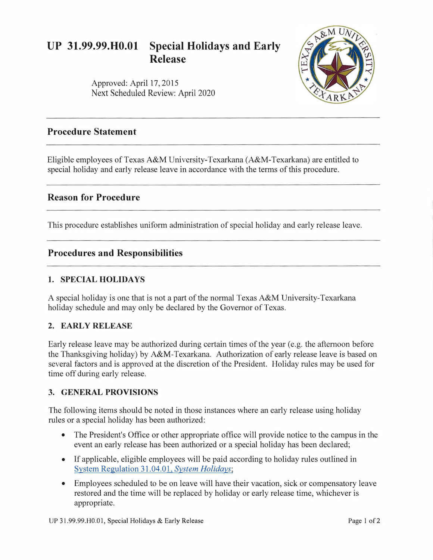# **UP 31.99.99.H0.01 Special Holidays and Early Release**



Approved: April 17, 2015 Next Scheduled Review: April 2020

# **Procedure Statement**

Eligible employees of Texas A&M University-Texarkana (A&M-Texarkana) are entitled to special holiday and early release leave in accordance with the terms of this procedure.

# **Reason for Procedure**

This procedure establishes uniform administration of special holiday and early release leave.

### **Procedures and Responsibilities**

#### **1. SPECIAL HOLIDAYS**

A special holiday is one that is not a part of the normal Texas A&M University-Texarkana holiday schedule and may only be declared by the Governor of Texas.

#### **2. EARLY RELEASE**

Early release leave may be authorized during certain times of the year (e.g. the afternoon before the Thanksgiving holiday) by A&M-Texarkana. Authorization of early release leave is based on several factors and is approved at the discretion of the President. Holiday rules may be used for time off during early release.

#### **3. GENERAL PROVISIONS**

The following items should be noted in those instances where an early release using holiday rules or a special holiday has been authorized:

- The President's Office or other appropriate office will provide notice to the campus in the event an early release has been authorized or a special holiday has been declared;
- If applicable, eligible employees will be paid according to holiday rules outlined in [System Regulation 31.04.01,](http://policies.tamus.edu/31-04-01.pdf) *System Holidays;*
- Employees scheduled to be on leave will have their vacation, sick or compensatory leave restored and the time will be replaced by holiday or early release time, whichever is appropriate.